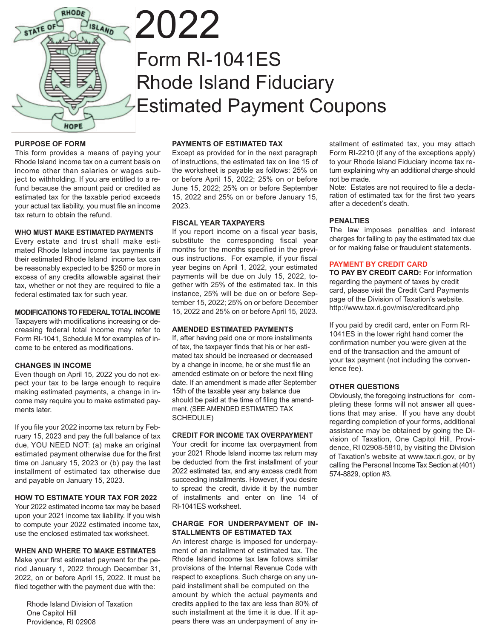

# 2022 Form RI-1041ES Rhode Island Fiduciary Estimated Payment Coupons

#### **PURPOSE OF FORM**

This form provides a means of paying your Rhode Island income tax on a current basis on income other than salaries or wages subject to withholding. If you are entitled to a refund because the amount paid or credited as estimated tax for the taxable period exceeds your actual tax liability, you must file an income tax return to obtain the refund.

#### **WHO MUST MAKE ESTIMATED PAYMENTS**

Every estate and trust shall make estimated Rhode Island income tax payments if their estimated Rhode Island income tax can be reasonably expected to be \$250 or more in excess of any credits allowable against their tax, whether or not they are required to file a federal estimated tax for such year.

#### **MODIFICATIONS TO FEDERAL TOTAL INCOME**

Taxpayers with modifications increasing or decreasing federal total income may refer to Form RI-1041, Schedule M for examples of income to be entered as modifications.

#### **CHANGES IN INCOME**

Even though on April 15, 2022 you do not expect your tax to be large enough to require making estimated payments, a change in income may require you to make estimated payments later.

If you file your 2022 income tax return by February 15, 2023 and pay the full balance of tax due, YOU NEED NOT: (a) make an original estimated payment otherwise due for the first time on January 15, 2023 or (b) pay the last installment of estimated tax otherwise due and payable on January 15, 2023.

#### **HOW TO ESTIMATE YOUR TAX FOR 2022**

Your 2022 estimated income tax may be based upon your 2021 income tax liability. If you wish to compute your 2022 estimated income tax, use the enclosed estimated tax worksheet.

#### **WHEN AND WHERE TO MAKE ESTIMATES**

Make your first estimated payment for the period January 1, 2022 through December 31, 2022, on or before April 15, 2022. It must be filed together with the payment due with the:

 Rhode Island Division of Taxation One Capitol Hill Providence, RI 02908

#### **PAYMENTS OF ESTIMATED TAX**

Except as provided for in the next paragraph of instructions, the estimated tax on line 15 of the worksheet is payable as follows: 25% on or before April 15, 2022; 25% on or before June 15, 2022; 25% on or before September 15, 2022 and 25% on or before January 15, 2023.

#### **FISCAL YEAR TAXPAYERS**

If you report income on a fiscal year basis, substitute the corresponding fiscal year months for the months specified in the previous instructions. For example, if your fiscal year begins on April 1, 2022, your estimated payments will be due on July 15, 2022, together with 25% of the estimated tax. In this instance, 25% will be due on or before September 15, 2022; 25% on or before December 15, 2022 and 25% on or before April 15, 2023.

#### **AMENDED ESTIMATED PAYMENTS**

If, after having paid one or more installments of tax, the taxpayer finds that his or her estimated tax should be increased or decreased by a change in income, he or she must file an amended estimate on or before the next filing date. If an amendment is made after September 15th of the taxable year any balance due should be paid at the time of filing the amendment. (SEE AMENDED ESTIMATED TAX SCHEDULE)

#### **CREDIT FOR INCOME TAX OVERPAYMENT**

Your credit for income tax overpayment from your 2021 Rhode Island income tax return may be deducted from the first installment of your 2022 estimated tax, and any excess credit from succeeding installments. However, if you desire to spread the credit, divide it by the number of installments and enter on line 14 of RI-1041ES worksheet.

#### **CHARGE FOR UNDERPAYMENT OF IN-STALLMENTS OF ESTIMATED TAX**

An interest charge is imposed for underpayment of an installment of estimated tax. The Rhode Island income tax law follows similar provisions of the Internal Revenue Code with respect to exceptions. Such charge on any unpaid installment shall be computed on the amount by which the actual payments and credits applied to the tax are less than 80% of such installment at the time it is due. If it appears there was an underpayment of any installment of estimated tax, you may attach Form RI-2210 (if any of the exceptions apply) to your Rhode Island Fiduciary income tax return explaining why an additional charge should not be made.

Note: Estates are not required to file a declaration of estimated tax for the first two years after a decedent's death.

#### **PENALTIES**

The law imposes penalties and interest charges for failing to pay the estimated tax due or for making false or fraudulent statements.

#### **PAYMENT BY CREDIT CARD**

**TO PAY BY CREDIT CARD:** For information regarding the payment of taxes by credit card, please visit the Credit Card Payments page of the Division of Taxation's website. http://www.tax.ri.gov/misc/creditcard.php

If you paid by credit card, enter on Form RI-1041ES in the lower right hand corner the confirmation number you were given at the end of the transaction and the amount of your tax payment (not including the convenience fee).

#### **OTHER QUESTIONS**

Obviously, the foregoing instructions for completing these forms will not answer all questions that may arise. If you have any doubt regarding completion of your forms, additional assistance may be obtained by going the Division of Taxation, One Capitol Hill, Providence, RI 02908-5810, by visiting the Division of Taxation's website at www.tax.ri.gov, or by calling the Personal Income Tax Section at (401) 574-8829, option #3.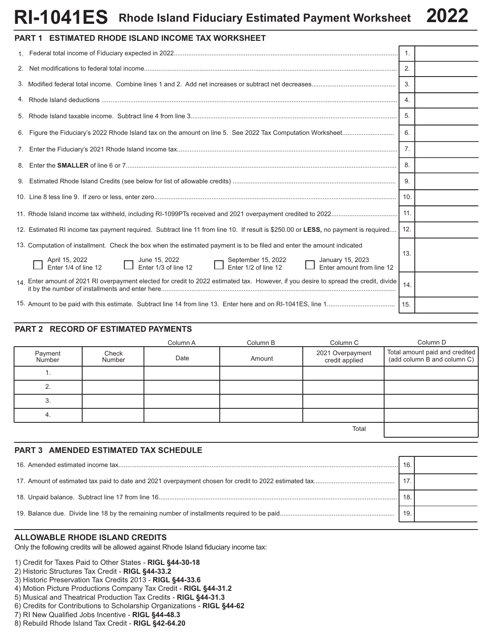### **Rhode Island Fiduciary Estimated Payment Worksheet 2022 RI-1041ES**

| $\mathsf{RI}\text{-}\mathsf{I}\mathsf{U}\text{4}\mathsf{I}\mathsf{E}\mathsf{S}$ Rhode Island Fiduciary Estimated Payment Worksheet $\mathsf{Z}\mathsf{U}\mathsf{Z}\mathsf{Z}$ |  |
|-------------------------------------------------------------------------------------------------------------------------------------------------------------------------------|--|
| PART 1 ESTIMATED RHODE ISLAND INCOME TAX WORKSHEET                                                                                                                            |  |
| <b>A E</b> double to be a <b>fEu</b> diamond of the <b>contract of a</b>                                                                                                      |  |

|                                                                                                                                        | 1.  |  |
|----------------------------------------------------------------------------------------------------------------------------------------|-----|--|
|                                                                                                                                        | 2.  |  |
|                                                                                                                                        | 3.  |  |
|                                                                                                                                        | 4.  |  |
|                                                                                                                                        | 5.  |  |
|                                                                                                                                        | 6.  |  |
|                                                                                                                                        | 7.  |  |
|                                                                                                                                        | 8.  |  |
|                                                                                                                                        | 9.  |  |
|                                                                                                                                        | 10. |  |
|                                                                                                                                        | 11. |  |
| 12. Estimated RI income tax payment required. Subtract line 11 from line 10. If result is \$250.00 or LESS, no payment is required     | 12. |  |
| 13. Computation of installment. Check the box when the estimated payment is to be filed and enter the amount indicated                 |     |  |
| April 15, 2022<br>Enter 1/4 of line 12<br>Enter 1/3 of line 12<br>Enter 1/2 of line 12<br>Enter 1/4 of line 12<br>Enter 1/4 of line 12 | 13. |  |
| 14. Enter amount of 2021 RI overpayment elected for credit to 2022 estimated tax. However, if you desire to spread the credit, divide  | 14. |  |
|                                                                                                                                        |     |  |

# **PART 2 RECORD OF ESTIMATED PAYMENTS**

|                   |                 | Column A | Column B | Column C                           | Column D                                                      |
|-------------------|-----------------|----------|----------|------------------------------------|---------------------------------------------------------------|
| Payment<br>Number | Check<br>Number | Date     | Amount   | 2021 Overpayment<br>credit applied | Total amount paid and credited<br>(add column B and column C) |
|                   |                 |          |          |                                    |                                                               |
|                   |                 |          |          |                                    |                                                               |
| 3                 |                 |          |          |                                    |                                                               |
| 4.                |                 |          |          |                                    |                                                               |
|                   |                 |          |          | Total                              |                                                               |

# **PART 3 AMENDED ESTIMATED TAX SCHEDULE**

| 16  |  |
|-----|--|
|     |  |
| 18  |  |
| 19. |  |
|     |  |

# **ALLOWABLE RHODE ISLAND CREDITS**

Only the following credits will be allowed against Rhode Island fiduciary income tax:

1) Credit for Taxes Paid to Other States - **RIGL §44-30-18**

- 2) Historic Structures Tax Credit **RIGL §44-33.2**
- 3) Historic Preservation Tax Credits 2013 **RIGL §44-33.6**
- 4) Motion Picture Productions Company Tax Credit **RIGL §44-31.2**
- 5) Musical and Theatrical Production Tax Credits **RIGL §44-31.3**
- 6) Credits for Contributions to Scholarship Organizations **RIGL §44-62**
- 7) RI New Qualified Jobs Incentive **RIGL §44-48.3**
- 8) Rebuild Rhode Island Tax Credit **RIGL §42-64.20**